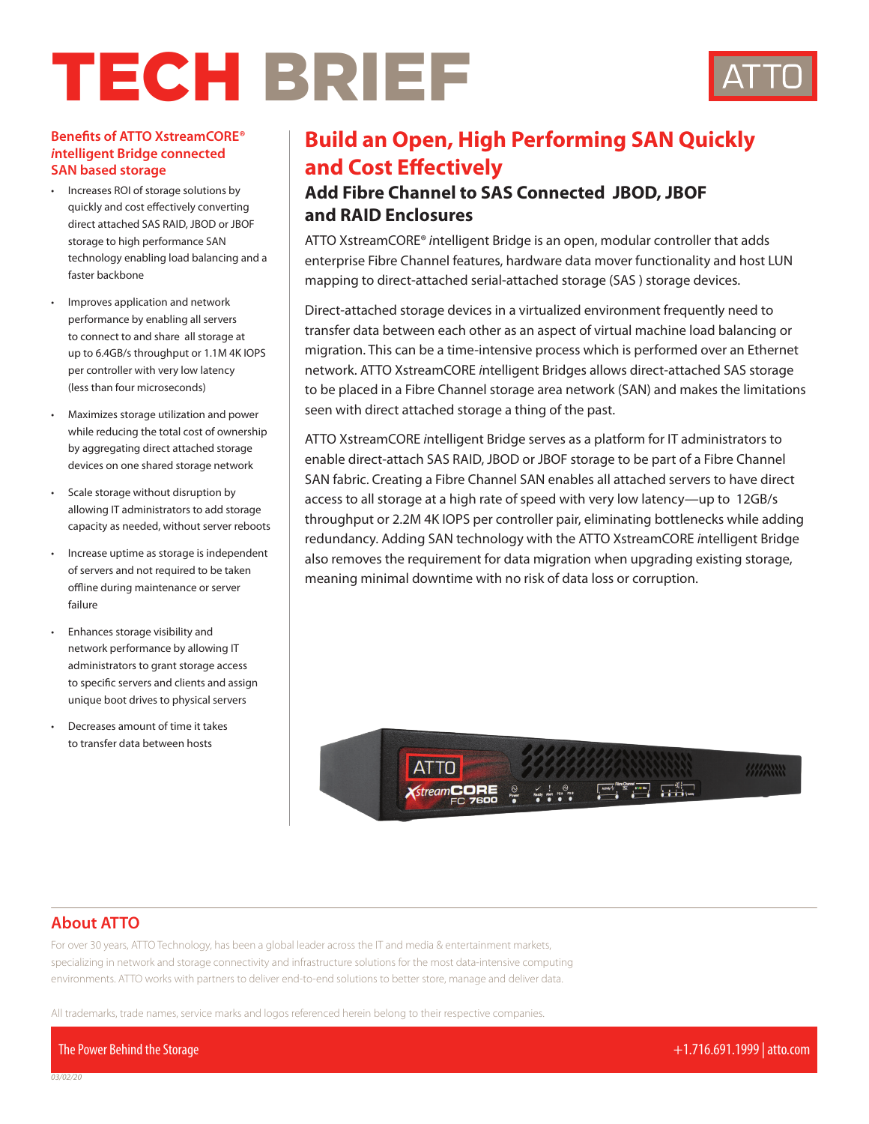# TECH BRIEF



#### **Benefits of ATTO XstreamCORE®**  *i***ntelligent Bridge connected SAN based storage**

- Increases ROI of storage solutions by quickly and cost effectively converting direct attached SAS RAID, JBOD or JBOF storage to high performance SAN technology enabling load balancing and a faster backbone
- Improves application and network performance by enabling all servers to connect to and share all storage at up to 6.4GB/s throughput or 1.1M 4K IOPS per controller with very low latency (less than four microseconds)
- Maximizes storage utilization and power while reducing the total cost of ownership by aggregating direct attached storage devices on one shared storage network
- Scale storage without disruption by allowing IT administrators to add storage capacity as needed, without server reboots
- Increase uptime as storage is independent of servers and not required to be taken offline during maintenance or server failure
- Enhances storage visibility and network performance by allowing IT administrators to grant storage access to specific servers and clients and assign unique boot drives to physical servers
- Decreases amount of time it takes to transfer data between hosts

## **Build an Open, High Performing SAN Quickly and Cost Effectively**

## **Add Fibre Channel to SAS Connected JBOD, JBOF and RAID Enclosures**

ATTO XstreamCORE® *i*ntelligent Bridge is an open, modular controller that adds enterprise Fibre Channel features, hardware data mover functionality and host LUN mapping to direct-attached serial-attached storage (SAS ) storage devices.

Direct-attached storage devices in a virtualized environment frequently need to transfer data between each other as an aspect of virtual machine load balancing or migration. This can be a time-intensive process which is performed over an Ethernet network. ATTO XstreamCORE *i*ntelligent Bridges allows direct-attached SAS storage to be placed in a Fibre Channel storage area network (SAN) and makes the limitations seen with direct attached storage a thing of the past.

ATTO XstreamCORE *i*ntelligent Bridge serves as a platform for IT administrators to enable direct-attach SAS RAID, JBOD or JBOF storage to be part of a Fibre Channel SAN fabric. Creating a Fibre Channel SAN enables all attached servers to have direct access to all storage at a high rate of speed with very low latency—up to 12GB/s throughput or 2.2M 4K IOPS per controller pair, eliminating bottlenecks while adding redundancy. Adding SAN technology with the ATTO XstreamCORE *i*ntelligent Bridge also removes the requirement for data migration when upgrading existing storage, meaning minimal downtime with no risk of data loss or corruption.



#### **About ATTO**

For over 30 years, ATTO Technology, has been a global leader across the IT and media & entertainment markets, specializing in network and storage connectivity and infrastructure solutions for the most data-intensive computing environments. ATTO works with partners to deliver end-to-end solutions to better store, manage and deliver data.

All trademarks, trade names, service marks and logos referenced herein belong to their respective companies.

The Power Behind the Storage +1.716.691.1999 | atto.com

*03/02/20*